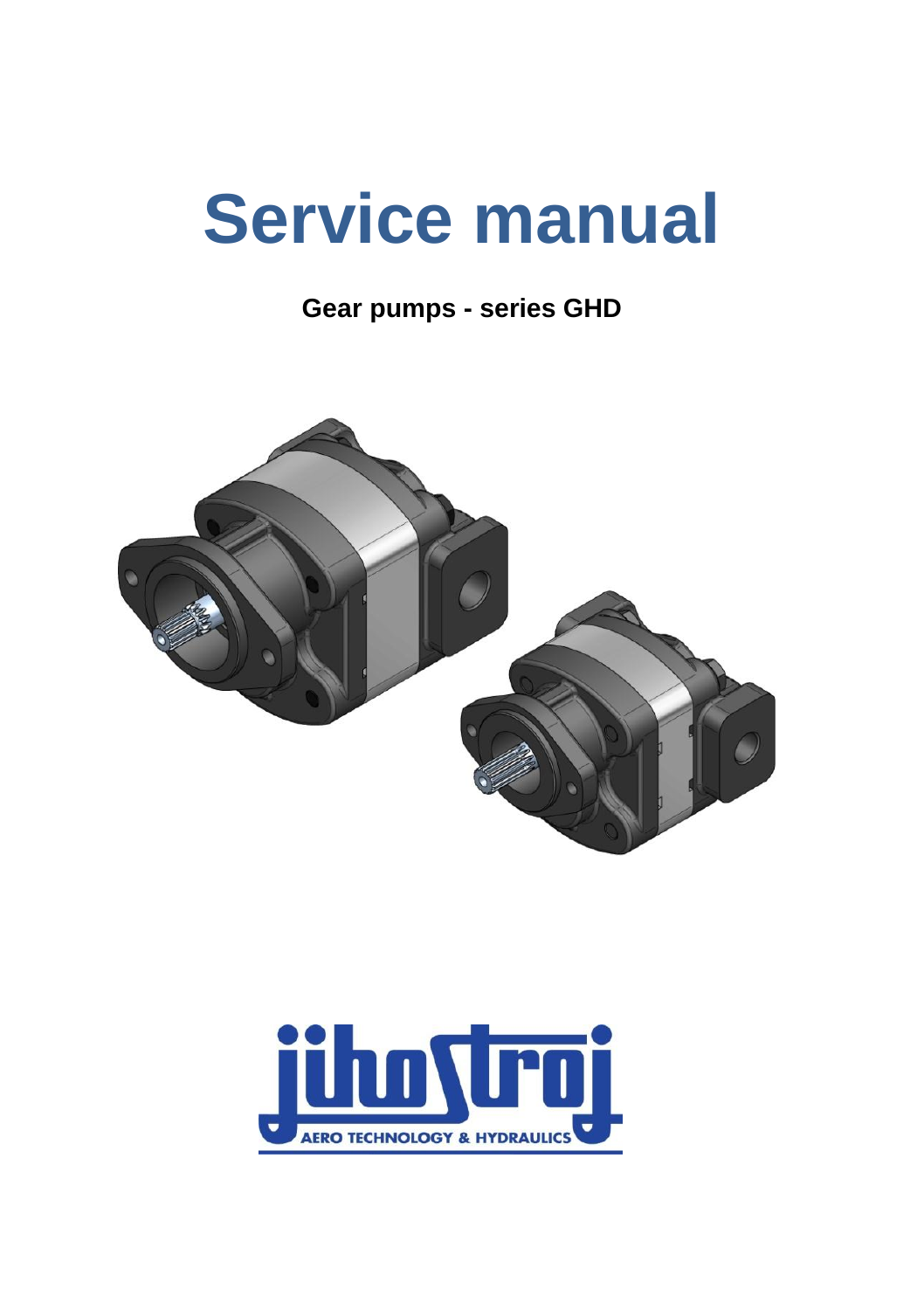# **Service manual**

**Gear pumps - series GHD**



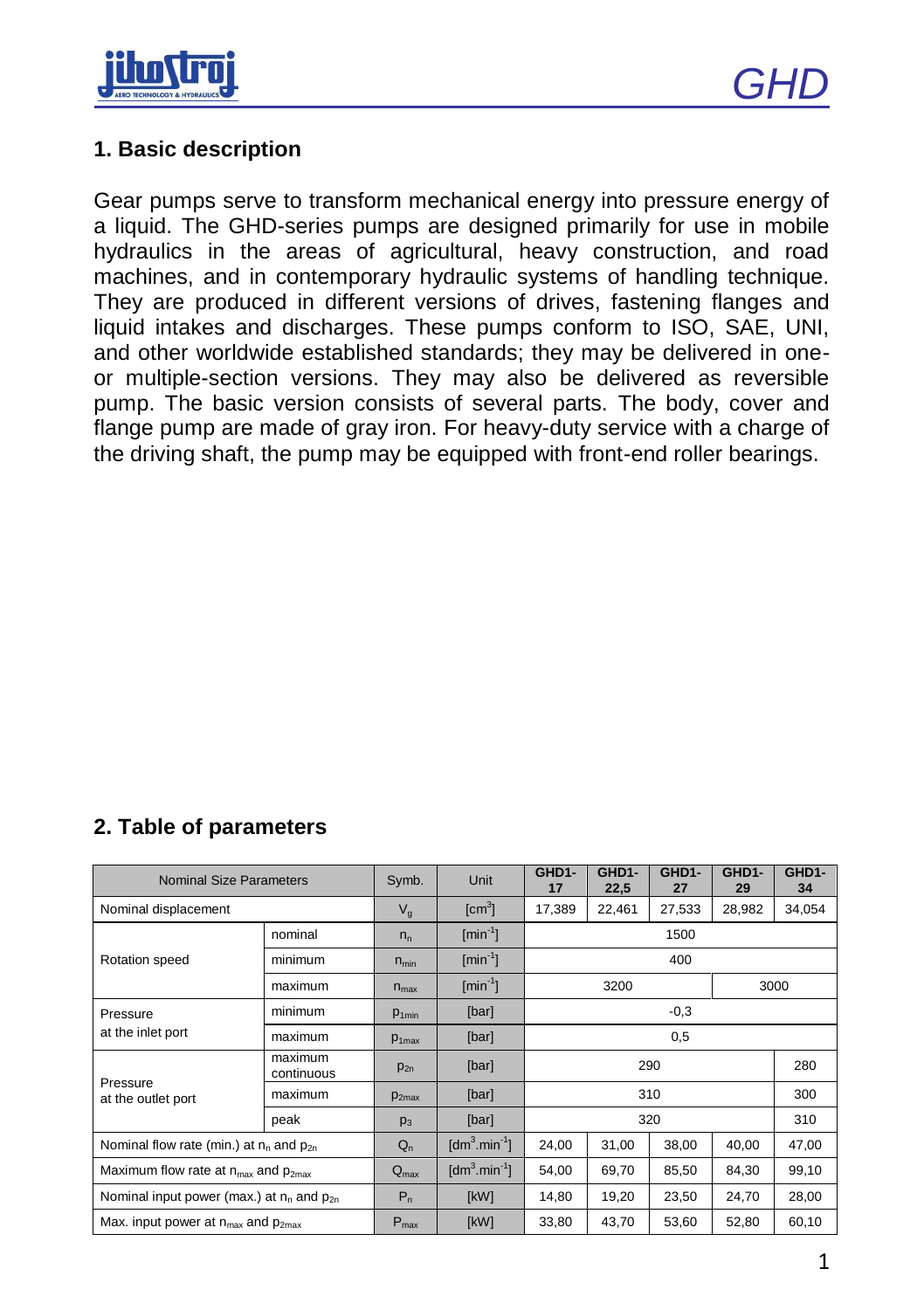



#### **1. Basic description**

Gear pumps serve to transform mechanical energy into pressure energy of a liquid. The GHD-series pumps are designed primarily for use in mobile hydraulics in the areas of agricultural, heavy construction, and road machines, and in contemporary hydraulic systems of handling technique. They are produced in different versions of drives, fastening flanges and liquid intakes and discharges. These pumps conform to ISO, SAE, UNI, and other worldwide established standards; they may be delivered in oneor multiple-section versions. They may also be delivered as reversible pump. The basic version consists of several parts. The body, cover and flange pump are made of gray iron. For heavy-duty service with a charge of the driving shaft, the pump may be equipped with front-end roller bearings.

| <b>Nominal Size Parameters</b>                              |                       | Symb.             | Unit                                    | GHD1-<br>17 | GHD1-<br>22,5 | GHD1-<br>27 | GHD1-<br>29 | GHD1-<br>34 |  |
|-------------------------------------------------------------|-----------------------|-------------------|-----------------------------------------|-------------|---------------|-------------|-------------|-------------|--|
| Nominal displacement                                        |                       | $V_{\alpha}$      | $\text{[cm}^3$                          | 17.389      | 22,461        | 27,533      | 28,982      | 34,054      |  |
| Rotation speed                                              | nominal               | $n_{n}$           | $\lceil \text{min}^{-1} \rceil$         | 1500        |               |             |             |             |  |
|                                                             | minimum               | $n_{min}$         | $\lceil \text{min}^{-1} \rceil$         | 400         |               |             |             |             |  |
|                                                             | maximum               | $n_{\text{max}}$  | $\lceil \text{min}^{-1} \rceil$         | 3200        |               |             |             | 3000        |  |
| Pressure                                                    | minimum               | P <sub>1min</sub> | [bar]                                   | $-0.3$      |               |             |             |             |  |
| at the inlet port                                           | maximum               | $p_{1max}$        | [bar]                                   | 0,5         |               |             |             |             |  |
| Pressure<br>at the outlet port                              | maximum<br>continuous | $p_{2n}$          | [bar]                                   | 290         |               |             |             | 280         |  |
|                                                             | maximum               | P <sub>2max</sub> | [bar]                                   | 310         |               |             |             | 300         |  |
|                                                             | peak                  | p <sub>3</sub>    | [bar]                                   | 320         |               |             |             | 310         |  |
| Nominal flow rate (min.) at $n_0$ and $p_{20}$              |                       | $Q_n$             | $\text{[dm}^3 \text{.} \text{min}^1$    | 24,00       | 31,00         | 38,00       | 40,00       | 47,00       |  |
| Maximum flow rate at n <sub>max</sub> and p <sub>2max</sub> |                       | $Q_{\text{max}}$  | $\text{Idm}^3 \text{.} \text{min}^{-1}$ | 54,00       | 69,70         | 85,50       | 84,30       | 99,10       |  |
| Nominal input power (max.) at $n_n$ and $p_{2n}$            |                       | $P_n$             | [kW]                                    | 14,80       | 19,20         | 23,50       | 24,70       | 28,00       |  |
| Max. input power at $n_{max}$ and $p_{2max}$                |                       | $P_{\text{max}}$  | [kW]                                    | 33,80       | 43,70         | 53,60       | 52,80       | 60,10       |  |

## **2. Table of parameters**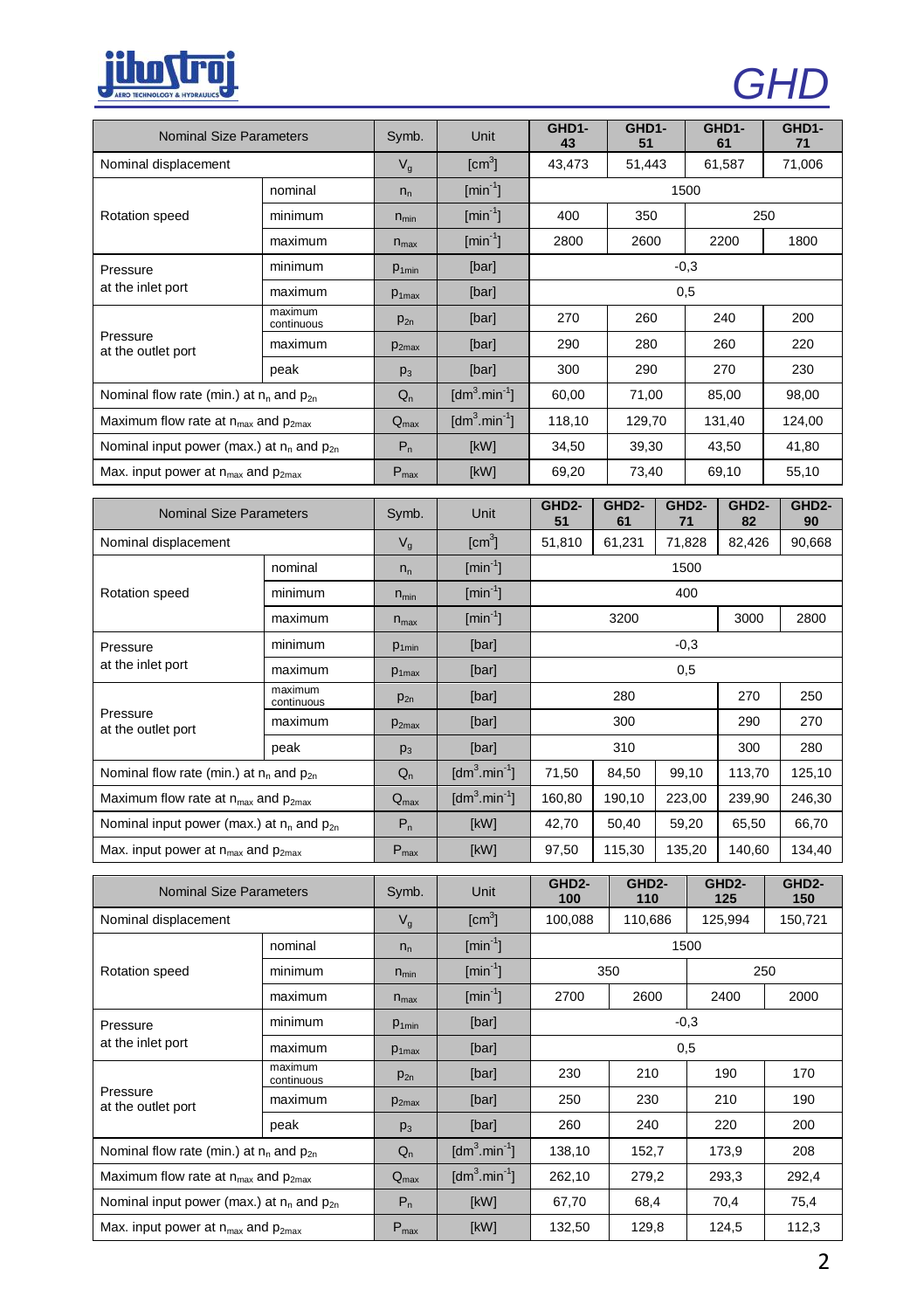

| v | ŋ. |
|---|----|
|   |    |

| <b>Nominal Size Parameters</b>                   |                       | Symb.             | Unit                                  | GHD1-<br>43               | GHD1-<br>51              |                                                 | GHD1-<br>61              | GHD1-<br>71               |  |
|--------------------------------------------------|-----------------------|-------------------|---------------------------------------|---------------------------|--------------------------|-------------------------------------------------|--------------------------|---------------------------|--|
| Nominal displacement                             |                       | $V_{q}$           | $\text{[cm}^3$                        | 43,473                    | 51,443<br>61,587         |                                                 |                          | 71,006                    |  |
|                                                  | nominal               | $n_{n}$           | $\text{[min}^1$                       | 1500                      |                          |                                                 |                          |                           |  |
| Rotation speed                                   | minimum               | $n_{min}$         | $[min^{-1}]$                          | 400<br>350<br>250         |                          |                                                 |                          |                           |  |
|                                                  | maximum               | $n_{max}$         | $\left[\text{min}^{\text{-1}}\right]$ | 2800                      | 2600                     |                                                 | 2200<br>1800             |                           |  |
| Pressure                                         | minimum               | $p_{1min}$        | [bar]                                 | $-0,3$                    |                          |                                                 |                          |                           |  |
| at the inlet port                                | maximum               | P <sub>1max</sub> | [bar]                                 | 0,5                       |                          |                                                 |                          |                           |  |
| Pressure<br>at the outlet port                   | maximum<br>continuous | $p_{2n}$          | [bar]                                 | 270                       | 260                      |                                                 | 240                      | 200                       |  |
|                                                  | maximum               | P <sub>2max</sub> | [bar]                                 | 290                       | 280                      |                                                 | 260                      | 220                       |  |
|                                                  | peak                  | $p_3$             | [bar]                                 | 300                       |                          | 290<br>270                                      |                          | 230                       |  |
| Nominal flow rate (min.) at $n_n$ and $p_{2n}$   |                       | $Q_{n}$           | $[dm^3.min^{-1}]$                     | 60,00<br>71,00            |                          | 85,00                                           | 98,00                    |                           |  |
| Maximum flow rate at $n_{max}$ and $p_{2max}$    |                       | $Q_{\text{max}}$  | $[dm^3.min^{-1}]$                     | 118,10                    | 129,70                   |                                                 | 131,40                   | 124,00                    |  |
| Nominal input power (max.) at $n_n$ and $p_{2n}$ |                       | $P_n$             | [kW]                                  | 34,50                     | 39,30                    |                                                 | 43,50                    | 41,80                     |  |
| Max. input power at $n_{max}$ and $p_{2max}$     |                       | $P_{max}$         | [kW]                                  | 69,20                     | 73,40                    |                                                 | 69,10                    | 55,10                     |  |
| <b>Nominal Size Parameters</b>                   |                       | Symb.             | Unit                                  | GHD <sub>2</sub> -<br>51  | GHD <sub>2</sub> -<br>61 | GHD <sub>2</sub> -<br>71                        | GHD <sub>2</sub> -<br>82 | GHD <sub>2</sub> -<br>90  |  |
| Nominal displacement                             |                       | $V_q$             | $\text{[cm}^3$                        | 51,810                    | 61,231                   | 71,828                                          | 82,426                   | 90,668                    |  |
|                                                  | nominal               | $n_{n}$           | $[min^{-1}]$                          | 1500                      |                          |                                                 |                          |                           |  |
| Rotation speed                                   | minimum               | $n_{min}$         | $\text{[min}^{-1}$                    | 400                       |                          |                                                 |                          |                           |  |
|                                                  | maximum               | $n_{\text{max}}$  | $\left[\text{min}^{\text{-1}}\right]$ | 3200<br>3000<br>2800      |                          |                                                 |                          |                           |  |
| Pressure                                         | minimum               | P <sub>1min</sub> | [bar]                                 | $-0.3$                    |                          |                                                 |                          |                           |  |
| at the inlet port                                | maximum               | P <sub>1max</sub> | [bar]                                 | 0,5                       |                          |                                                 |                          |                           |  |
|                                                  | maximum<br>continuous | $p_{2n}$          | [bar]                                 | 280<br>270                |                          |                                                 | 250                      |                           |  |
| Pressure<br>at the outlet port                   | maximum               | P <sub>2max</sub> | [bar]                                 | 300<br>290                |                          |                                                 |                          | 270                       |  |
|                                                  | peak                  | p <sub>3</sub>    | [bar]                                 | 310<br>300                |                          |                                                 |                          | 280                       |  |
| Nominal flow rate (min.) at $n_n$ and $p_{2n}$   |                       | $Q_{n}$           | $[dm^3.min^{-1}]$                     | 71,50<br>84,50<br>99,10   |                          | 113,70                                          | 125,10                   |                           |  |
| Maximum flow rate at $n_{max}$ and $p_{2max}$    |                       | Q <sub>max</sub>  | $[dm^3.min^{-1}]$                     | 160,80                    | 190,10                   | 223,00                                          | 239,90                   | 246,30                    |  |
| Nominal input power (max.) at $n_n$ and $p_{2n}$ |                       | $P_n$             | [kW]                                  | 42,70                     | 50,40                    | 59,20                                           | 65,50                    | 66,70                     |  |
| Max. input power at $n_{max}$ and $p_{2max}$     |                       | $P_{\text{max}}$  | [kW]                                  | 97,50                     | 115,30                   | 135,20                                          | 140,60                   | 134,40                    |  |
| <b>Nominal Size Parameters</b>                   |                       | Symb.             | Unit                                  | GHD <sub>2</sub> -<br>100 |                          | GHD <sub>2</sub> -<br>GHD <sub>2</sub> -<br>110 |                          | GHD <sub>2</sub> -<br>150 |  |
| Nominal displacement                             |                       | $V_q$             | $\text{[cm}^3$                        | 100,088                   | 110,686                  |                                                 | 125<br>125,994           | 150,721                   |  |
| Rotation speed                                   | nominal               | $n_{n}$           | $\left[\text{min}^{\text{-1}}\right]$ | 1500                      |                          |                                                 |                          |                           |  |
|                                                  | minimum               | $n_{min}$         | $[min^{-1}]$                          | 350                       |                          | 250                                             |                          |                           |  |
|                                                  | maximum               | $n_{max}$         | $[min^{-1}]$                          | 2700                      | 2600<br>2400             |                                                 |                          | 2000                      |  |
| Pressure                                         | minimum               | P <sub>1min</sub> | [bar]                                 | $-0,3$                    |                          |                                                 |                          |                           |  |
| at the inlet port                                | maximum               | P <sub>1max</sub> | [bar]                                 | 0,5                       |                          |                                                 |                          |                           |  |
| Pressure<br>at the outlet port                   | maximum<br>continuous | $p_{2n}$          | [bar]                                 | 230                       | 210                      |                                                 | 190                      | 170                       |  |
|                                                  | maximum               | P <sub>2max</sub> | [bar]                                 | 250                       | 230                      |                                                 | 210                      | 190                       |  |
|                                                  | peak                  | p <sub>3</sub>    | [bar]                                 | 260                       | 240                      |                                                 | 220                      | 200                       |  |
| Nominal flow rate (min.) at $n_n$ and $p_{2n}$   |                       | $Q_n$             | $[dm^3.min^{-1}]$                     | 152,7<br>138,10           |                          | 173,9                                           | 208                      |                           |  |
| Maximum flow rate at $n_{max}$ and $p_{2max}$    |                       | $Q_{\text{max}}$  | $[dm^3.min^{-1}]$                     | 262,10<br>279,2           |                          | 293,3                                           | 292,4                    |                           |  |
| Nominal input power (max.) at $n_n$ and $p_{2n}$ |                       | $P_n$             | [kW]                                  | 67,70                     | 68,4                     |                                                 | 70,4                     | 75,4                      |  |
| Max. input power at $n_{max}$ and $p_{2max}$     |                       | $P_{\text{max}}$  | [kW]                                  | 132,50                    | 129,8                    |                                                 | 124,5                    | 112,3                     |  |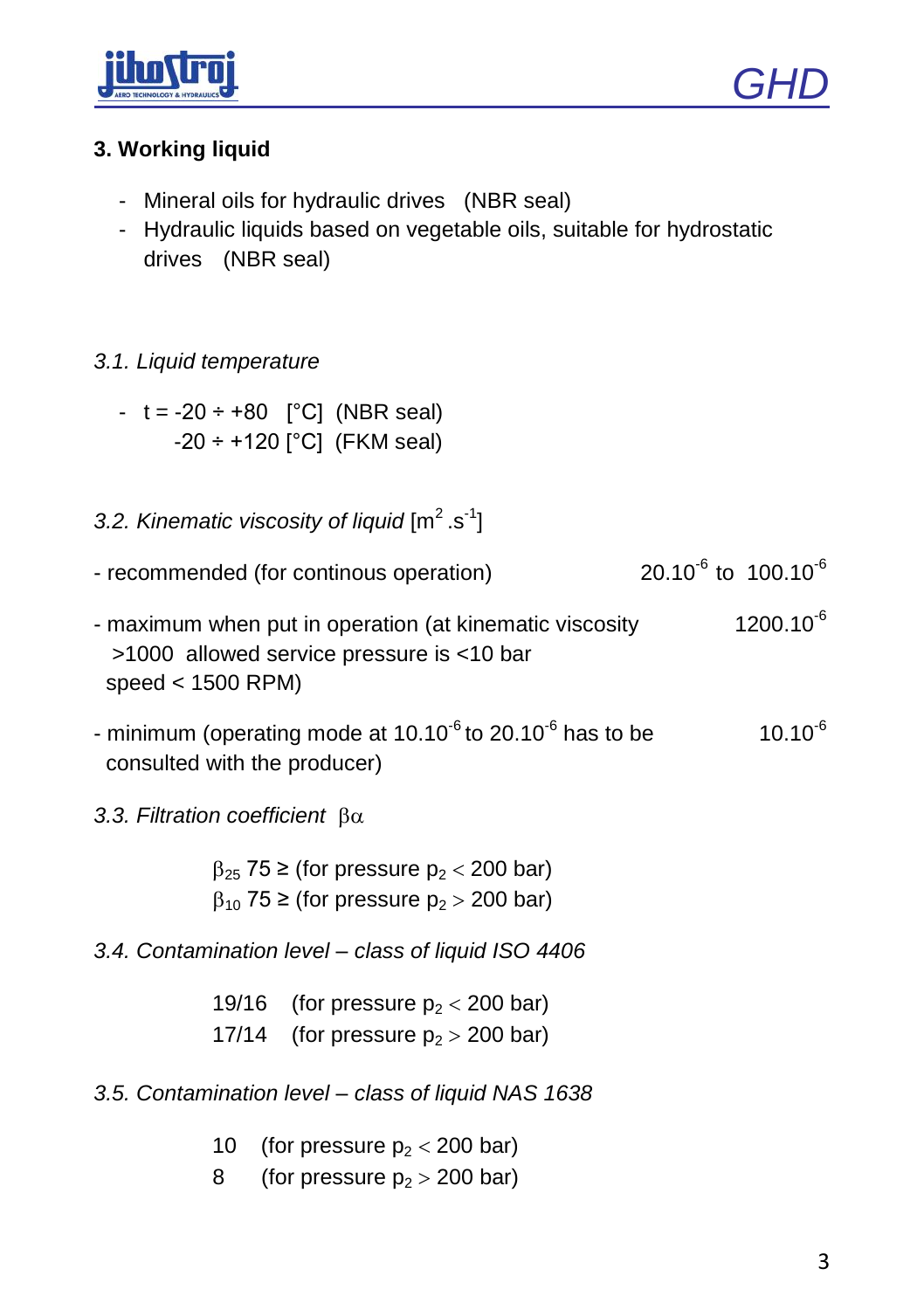



## **3. Working liquid**

- Mineral oils for hydraulic drives (NBR seal)
- Hydraulic liquids based on vegetable oils, suitable for hydrostatic drives (NBR seal)

### *3.1. Liquid temperature*

- $t = -20 \div 80$  [°C] (NBR seal) -20 ÷ +120 [°C] (FKM seal)
- 3.2. Kinematic viscosity of liquid [m<sup>2</sup>.s<sup>-1</sup>]
- recommended (for continous operation) 20.10<sup>-6</sup> to 100.10<sup>-6</sup>
- maximum when put in operation (at kinematic viscosity  $1200.10^{-6}$  >1000 allowed service pressure is <10 bar speed < 1500 RPM)
- minimum (operating mode at 10.10<sup>-6</sup> to 20.10<sup>-6</sup> has to be  $10.10^{-6}$ consulted with the producer)

*3.3. Filtration coefficient* 

 $\beta_{25}$  75 ≥ (for pressure p<sub>2</sub> < 200 bar)  $\beta_{10}$  75 ≥ (for pressure p<sub>2</sub> > 200 bar)

*3.4. Contamination level – class of liquid ISO 4406*

19/16 (for pressure  $p_2 < 200$  bar)

17/14 (for pressure  $p_2 > 200$  bar)

*3.5. Contamination level – class of liquid NAS 1638*

- 10 (for pressure  $p_2 < 200$  bar)
- 8 (for pressure  $p_2 > 200$  bar)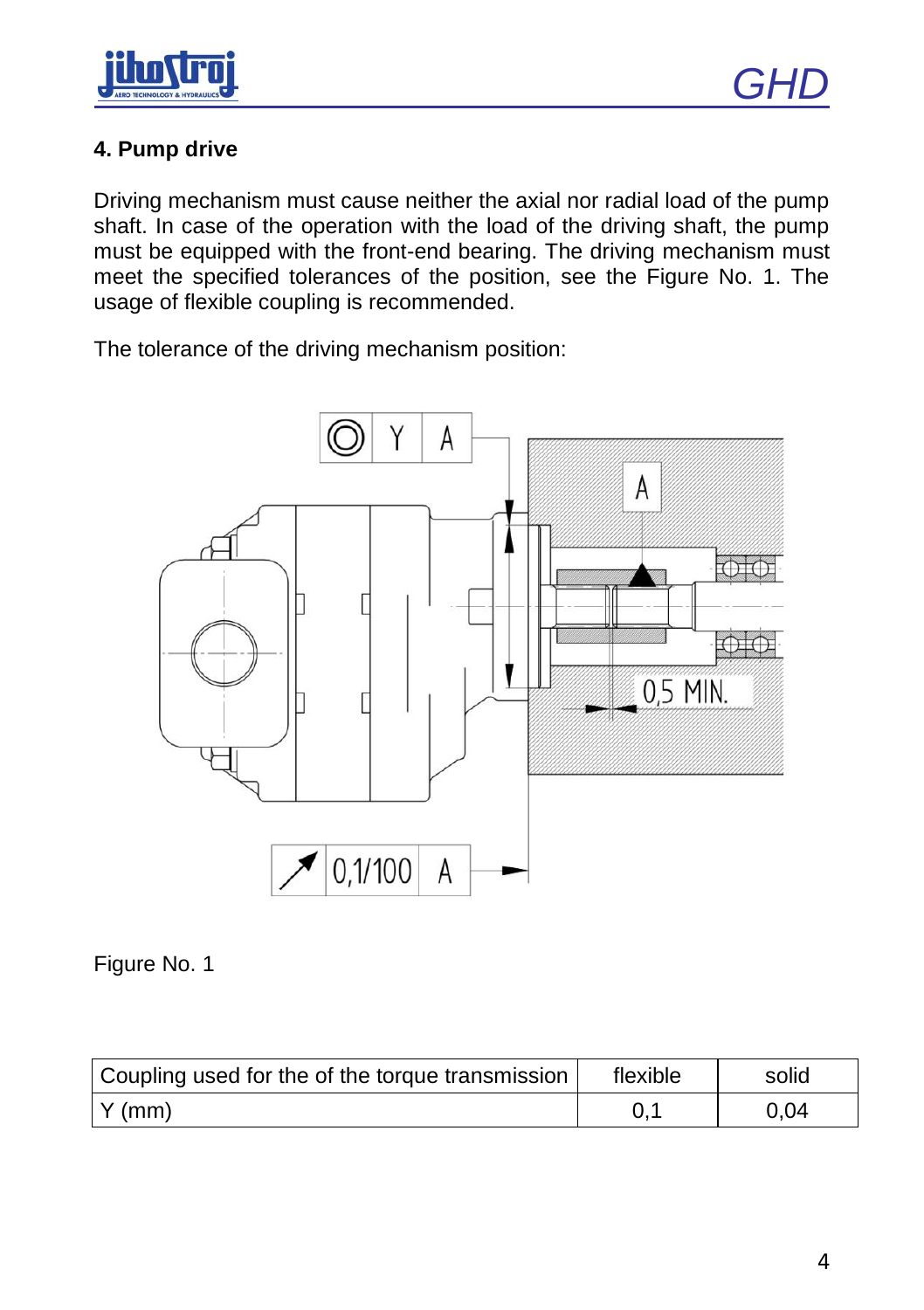

## **4. Pump drive**

Driving mechanism must cause neither the axial nor radial load of the pump shaft. In case of the operation with the load of the driving shaft, the pump must be equipped with the front-end bearing. The driving mechanism must meet the specified tolerances of the position, see the Figure No. 1. The usage of flexible coupling is recommended.

The tolerance of the driving mechanism position:



Figure No. 1

| Coupling used for the of the torque transmission | flexible | solid |  |  |
|--------------------------------------------------|----------|-------|--|--|
| $\vert$ Y (mm)                                   |          | 0.04  |  |  |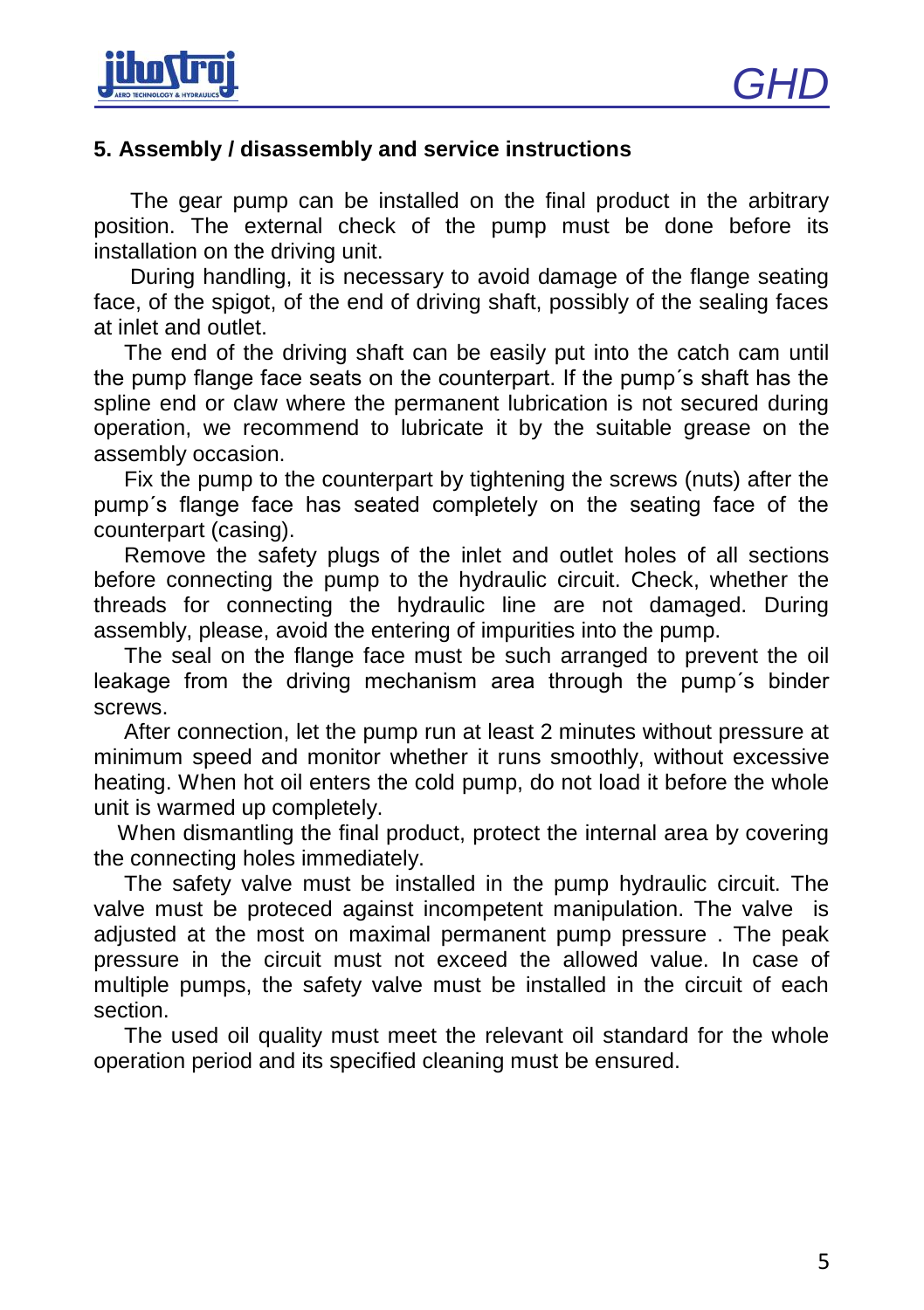

#### **5. Assembly / disassembly and service instructions**

 The gear pump can be installed on the final product in the arbitrary position. The external check of the pump must be done before its installation on the driving unit.

 During handling, it is necessary to avoid damage of the flange seating face, of the spigot, of the end of driving shaft, possibly of the sealing faces at inlet and outlet.

 The end of the driving shaft can be easily put into the catch cam until the pump flange face seats on the counterpart. If the pump´s shaft has the spline end or claw where the permanent lubrication is not secured during operation, we recommend to lubricate it by the suitable grease on the assembly occasion.

 Fix the pump to the counterpart by tightening the screws (nuts) after the pump´s flange face has seated completely on the seating face of the counterpart (casing).

 Remove the safety plugs of the inlet and outlet holes of all sections before connecting the pump to the hydraulic circuit. Check, whether the threads for connecting the hydraulic line are not damaged. During assembly, please, avoid the entering of impurities into the pump.

 The seal on the flange face must be such arranged to prevent the oil leakage from the driving mechanism area through the pump´s binder screws.

 After connection, let the pump run at least 2 minutes without pressure at minimum speed and monitor whether it runs smoothly, without excessive heating. When hot oil enters the cold pump, do not load it before the whole unit is warmed up completely.

 When dismantling the final product, protect the internal area by covering the connecting holes immediately.

 The safety valve must be installed in the pump hydraulic circuit. The valve must be proteced against incompetent manipulation. The valve is adjusted at the most on maximal permanent pump pressure . The peak pressure in the circuit must not exceed the allowed value. In case of multiple pumps, the safety valve must be installed in the circuit of each section.

 The used oil quality must meet the relevant oil standard for the whole operation period and its specified cleaning must be ensured.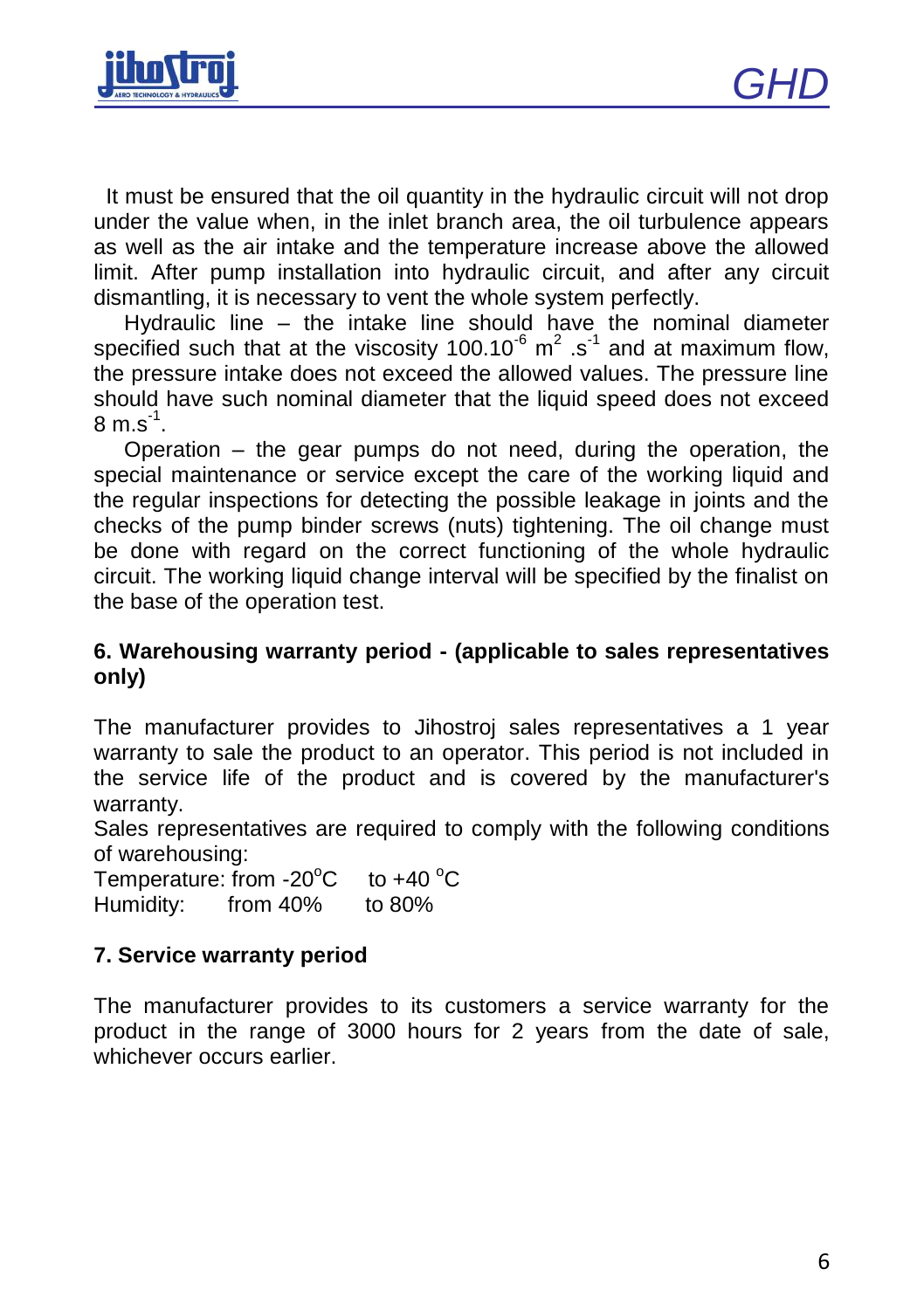

 It must be ensured that the oil quantity in the hydraulic circuit will not drop under the value when, in the inlet branch area, the oil turbulence appears as well as the air intake and the temperature increase above the allowed limit. After pump installation into hydraulic circuit, and after any circuit dismantling, it is necessary to vent the whole system perfectly.

 Hydraulic line – the intake line should have the nominal diameter specified such that at the viscosity 100.10 $^6$  m<sup>2</sup> .s<sup>-1</sup> and at maximum flow, the pressure intake does not exceed the allowed values. The pressure line should have such nominal diameter that the liquid speed does not exceed  $8 \text{ m.s}^1$ .

 Operation – the gear pumps do not need, during the operation, the special maintenance or service except the care of the working liquid and the regular inspections for detecting the possible leakage in joints and the checks of the pump binder screws (nuts) tightening. The oil change must be done with regard on the correct functioning of the whole hydraulic circuit. The working liquid change interval will be specified by the finalist on the base of the operation test.

#### **6. Warehousing warranty period - (applicable to sales representatives only)**

The manufacturer provides to Jihostroj sales representatives a 1 year warranty to sale the product to an operator. This period is not included in the service life of the product and is covered by the manufacturer's warranty.

Sales representatives are required to comply with the following conditions of warehousing:

Temperature: from  $-20^{\circ}$ C to  $+40^{\circ}$ C Humidity: from 40% to 80%

## **7. Service warranty period**

The manufacturer provides to its customers a service warranty for the product in the range of 3000 hours for 2 years from the date of sale, whichever occurs earlier.